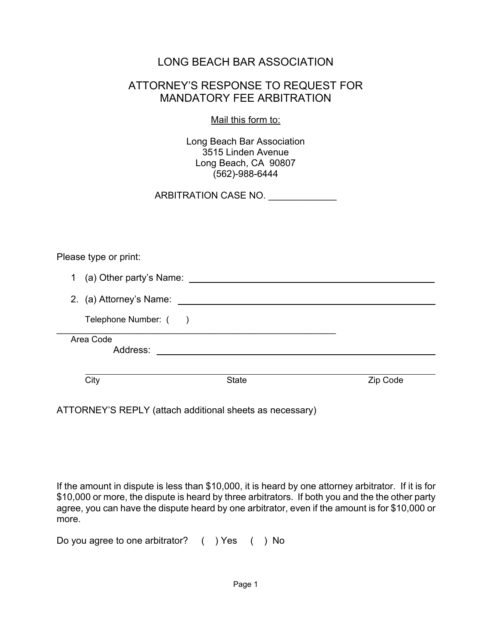## LONG BEACH BAR ASSOCIATION

## ATTORNEY'S RESPONSE TO REQUEST FOR MANDATORY FEE ARBITRATION

Mail this form to:

Long Beach Bar Association 3515 Linden Avenue Long Beach, CA 90807 (562)-988-6444

ARBITRATION CASE NO.

Please type or print:

| Address:                               |  |
|----------------------------------------|--|
| Area Code                              |  |
| Telephone Number: ()                   |  |
| 2. (a) Attorney's Name:                |  |
| (a) Other party's Name:<br>$\mathbf 1$ |  |

ATTORNEY'S REPLY (attach additional sheets as necessary)

If the amount in dispute is less than \$10,000, it is heard by one attorney arbitrator. If it is for \$10,000 or more, the dispute is heard by three arbitrators. If both you and the the other party agree, you can have the dispute heard by one arbitrator, even if the amount is for \$10,000 or more.

Do you agree to one arbitrator? ( ) Yes ( ) No